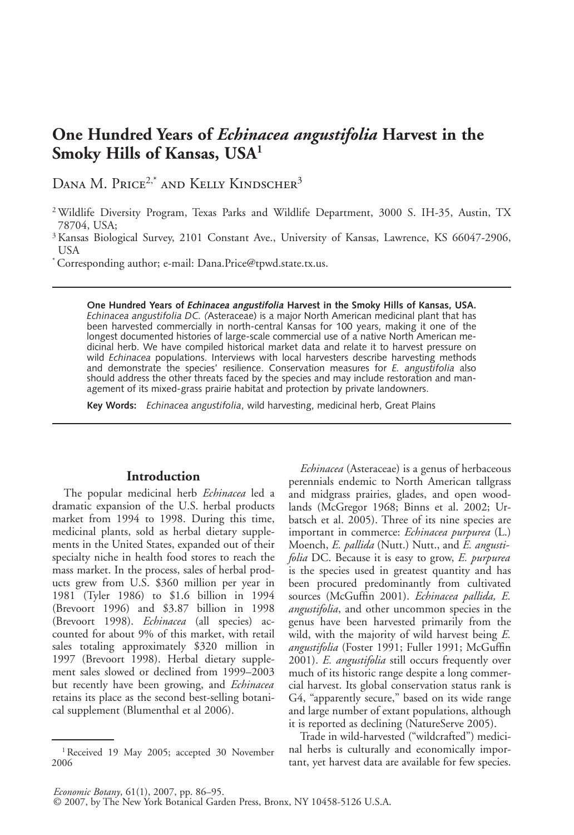# **One Hundred Years of** *Echinacea angustifolia* **Harvest in the Smoky Hills of Kansas, USA1**

DANA M. PRICE<sup>2,\*</sup> AND KELLY KINDSCHER<sup>3</sup>

\*Corresponding author; e-mail: Dana.Price@tpwd.state.tx.us.

**One Hundred Years of** *Echinacea angustifolia* **Harvest in the Smoky Hills of Kansas, USA.** *Echinacea angustifolia DC. (*Asteraceae) is a major North American medicinal plant that has been harvested commercially in north-central Kansas for 100 years, making it one of the longest documented histories of large-scale commercial use of a native North American medicinal herb. We have compiled historical market data and relate it to harvest pressure on wild *Echinacea* populations. Interviews with local harvesters describe harvesting methods and demonstrate the species' resilience. Conservation measures for *E. angustifolia* also should address the other threats faced by the species and may include restoration and management of its mixed-grass prairie habitat and protection by private landowners.

**Key Words:** *Echinacea angustifolia*, wild harvesting, medicinal herb, Great Plains

# **Introduction**

The popular medicinal herb *Echinacea* led a dramatic expansion of the U.S. herbal products market from 1994 to 1998. During this time, medicinal plants, sold as herbal dietary supplements in the United States, expanded out of their specialty niche in health food stores to reach the mass market. In the process, sales of herbal products grew from U.S. \$360 million per year in 1981 (Tyler 1986) to \$1.6 billion in 1994 (Brevoort 1996) and \$3.87 billion in 1998 (Brevoort 1998). *Echinacea* (all species) accounted for about 9% of this market, with retail sales totaling approximately \$320 million in 1997 (Brevoort 1998). Herbal dietary supplement sales slowed or declined from 1999–2003 but recently have been growing, and *Echinacea* retains its place as the second best-selling botanical supplement (Blumenthal et al 2006).

*Echinacea* (Asteraceae) is a genus of herbaceous perennials endemic to North American tallgrass and midgrass prairies, glades, and open woodlands (McGregor 1968; Binns et al. 2002; Urbatsch et al. 2005). Three of its nine species are important in commerce: *Echinacea purpurea* (L.) Moench, *E. pallida* (Nutt.) Nutt., and *E. angustifolia* DC. Because it is easy to grow, *E. purpurea* is the species used in greatest quantity and has been procured predominantly from cultivated sources (McGuffin 2001). *Echinacea pallida, E. angustifolia*, and other uncommon species in the genus have been harvested primarily from the wild, with the majority of wild harvest being *E. angustifolia* (Foster 1991; Fuller 1991; McGuffin 2001). *E. angustifolia* still occurs frequently over much of its historic range despite a long commercial harvest. Its global conservation status rank is G4, "apparently secure," based on its wide range and large number of extant populations, although it is reported as declining (NatureServe 2005).

Trade in wild-harvested ("wildcrafted") medicinal herbs is culturally and economically important, yet harvest data are available for few species.

<sup>2</sup> Wildlife Diversity Program, Texas Parks and Wildlife Department, 3000 S. IH-35, Austin, TX 78704, USA;

<sup>&</sup>lt;sup>3</sup> Kansas Biological Survey, 2101 Constant Ave., University of Kansas, Lawrence, KS 66047-2906, USA

<sup>&</sup>lt;sup>1</sup> Received 19 May 2005; accepted 30 November 2006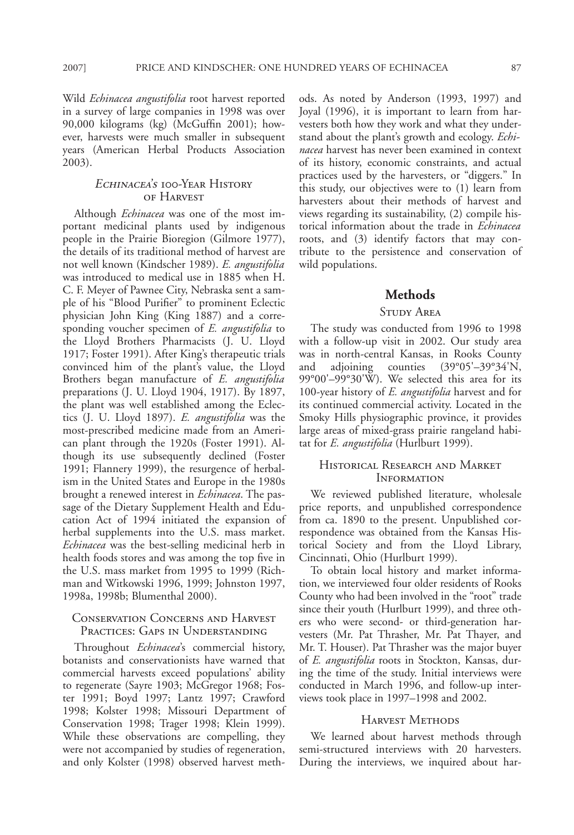Wild *Echinacea angustifolia* root harvest reported in a survey of large companies in 1998 was over 90,000 kilograms (kg) (McGuffin 2001); however, harvests were much smaller in subsequent years (American Herbal Products Association 2003).

# *Echinacea's* 100-Year History of Harvest

Although *Echinacea* was one of the most important medicinal plants used by indigenous people in the Prairie Bioregion (Gilmore 1977), the details of its traditional method of harvest are not well known (Kindscher 1989). *E. angustifolia* was introduced to medical use in 1885 when H. C. F. Meyer of Pawnee City, Nebraska sent a sample of his "Blood Purifier" to prominent Eclectic physician John King (King 1887) and a corresponding voucher specimen of *E. angustifolia* to the Lloyd Brothers Pharmacists (J. U. Lloyd 1917; Foster 1991). After King's therapeutic trials convinced him of the plant's value, the Lloyd Brothers began manufacture of *E. angustifolia* preparations (J. U. Lloyd 1904, 1917). By 1897, the plant was well established among the Eclectics (J. U. Lloyd 1897). *E. angustifolia* was the most-prescribed medicine made from an American plant through the 1920s (Foster 1991). Although its use subsequently declined (Foster 1991; Flannery 1999), the resurgence of herbalism in the United States and Europe in the 1980s brought a renewed interest in *Echinacea*. The passage of the Dietary Supplement Health and Education Act of 1994 initiated the expansion of herbal supplements into the U.S. mass market. *Echinacea* was the best-selling medicinal herb in health foods stores and was among the top five in the U.S. mass market from 1995 to 1999 (Richman and Witkowski 1996, 1999; Johnston 1997, 1998a, 1998b; Blumenthal 2000).

### Conservation Concerns and Harvest PRACTICES: GAPS IN UNDERSTANDING

Throughout *Echinacea*'s commercial history, botanists and conservationists have warned that commercial harvests exceed populations' ability to regenerate (Sayre 1903; McGregor 1968; Foster 1991; Boyd 1997; Lantz 1997; Crawford 1998; Kolster 1998; Missouri Department of Conservation 1998; Trager 1998; Klein 1999). While these observations are compelling, they were not accompanied by studies of regeneration, and only Kolster (1998) observed harvest meth-

ods. As noted by Anderson (1993, 1997) and Joyal (1996), it is important to learn from harvesters both how they work and what they understand about the plant's growth and ecology. *Echinacea* harvest has never been examined in context of its history, economic constraints, and actual practices used by the harvesters, or "diggers." In this study, our objectives were to (1) learn from harvesters about their methods of harvest and views regarding its sustainability, (2) compile historical information about the trade in *Echinacea* roots, and (3) identify factors that may contribute to the persistence and conservation of wild populations.

# **Methods**

### STUDY AREA

The study was conducted from 1996 to 1998 with a follow-up visit in 2002. Our study area was in north-central Kansas, in Rooks County and adjoining counties (39°05'–39°34'N, 99°00'–99°30'W). We selected this area for its 100-year history of *E. angustifolia* harvest and for its continued commercial activity. Located in the Smoky Hills physiographic province, it provides large areas of mixed-grass prairie rangeland habitat for *E. angustifolia* (Hurlburt 1999).

### Historical Research and Market Information

We reviewed published literature, wholesale price reports, and unpublished correspondence from ca. 1890 to the present. Unpublished correspondence was obtained from the Kansas Historical Society and from the Lloyd Library, Cincinnati, Ohio (Hurlburt 1999).

To obtain local history and market information, we interviewed four older residents of Rooks County who had been involved in the "root" trade since their youth (Hurlburt 1999), and three others who were second- or third-generation harvesters (Mr. Pat Thrasher, Mr. Pat Thayer, and Mr. T. Houser). Pat Thrasher was the major buyer of *E. angustifolia* roots in Stockton, Kansas, during the time of the study. Initial interviews were conducted in March 1996, and follow-up interviews took place in 1997–1998 and 2002.

### HARVEST METHODS

We learned about harvest methods through semi-structured interviews with 20 harvesters. During the interviews, we inquired about har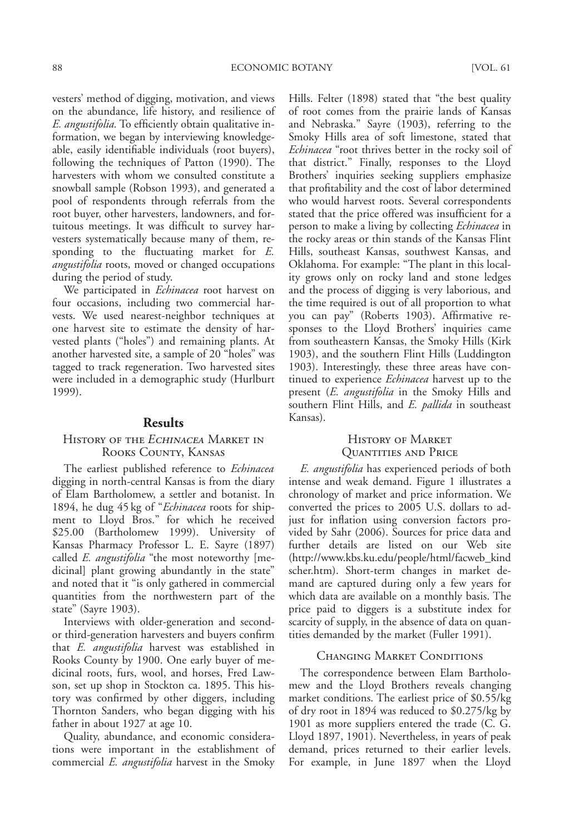vesters' method of digging, motivation, and views on the abundance, life history, and resilience of *E. angustifolia.* To efficiently obtain qualitative information, we began by interviewing knowledgeable, easily identifiable individuals (root buyers), following the techniques of Patton (1990). The harvesters with whom we consulted constitute a snowball sample (Robson 1993), and generated a pool of respondents through referrals from the root buyer, other harvesters, landowners, and fortuitous meetings. It was difficult to survey harvesters systematically because many of them, responding to the fluctuating market for *E. angustifolia* roots, moved or changed occupations during the period of study.

We participated in *Echinacea* root harvest on four occasions, including two commercial harvests. We used nearest-neighbor techniques at one harvest site to estimate the density of harvested plants ("holes") and remaining plants. At another harvested site, a sample of 20 "holes" was tagged to track regeneration. Two harvested sites were included in a demographic study (Hurlburt 1999).

### **Results**

### History of the *Echinacea* Market in Rooks County, Kansas

The earliest published reference to *Echinacea* digging in north-central Kansas is from the diary of Elam Bartholomew, a settler and botanist. In 1894, he dug 45 kg of "*Echinacea* roots for shipment to Lloyd Bros." for which he received \$25.00 (Bartholomew 1999). University of Kansas Pharmacy Professor L. E. Sayre (1897) called *E. angustifolia* "the most noteworthy [medicinal] plant growing abundantly in the state" and noted that it "is only gathered in commercial quantities from the northwestern part of the state" (Sayre 1903).

Interviews with older-generation and secondor third-generation harvesters and buyers confirm that *E. angustifolia* harvest was established in Rooks County by 1900. One early buyer of medicinal roots, furs, wool, and horses, Fred Lawson, set up shop in Stockton ca. 1895. This history was confirmed by other diggers, including Thornton Sanders, who began digging with his father in about 1927 at age 10.

Quality, abundance, and economic considerations were important in the establishment of commercial *E. angustifolia* harvest in the Smoky

Hills. Felter (1898) stated that "the best quality of root comes from the prairie lands of Kansas and Nebraska." Sayre (1903), referring to the Smoky Hills area of soft limestone, stated that *Echinacea* "root thrives better in the rocky soil of that district." Finally, responses to the Lloyd Brothers' inquiries seeking suppliers emphasize that profitability and the cost of labor determined who would harvest roots. Several correspondents stated that the price offered was insufficient for a person to make a living by collecting *Echinacea* in the rocky areas or thin stands of the Kansas Flint Hills, southeast Kansas, southwest Kansas, and Oklahoma. For example: "The plant in this locality grows only on rocky land and stone ledges and the process of digging is very laborious, and the time required is out of all proportion to what you can pay" (Roberts 1903). Affirmative responses to the Lloyd Brothers' inquiries came from southeastern Kansas, the Smoky Hills (Kirk 1903), and the southern Flint Hills (Luddington 1903). Interestingly, these three areas have continued to experience *Echinacea* harvest up to the present (*E. angustifolia* in the Smoky Hills and southern Flint Hills, and *E. pallida* in southeast Kansas).

### History of Market Quantities and Price

*E. angustifolia* has experienced periods of both intense and weak demand. Figure 1 illustrates a chronology of market and price information. We converted the prices to 2005 U.S. dollars to adjust for inflation using conversion factors provided by Sahr (2006). Sources for price data and further details are listed on our Web site (http://www.kbs.ku.edu/people/html/facweb\_kind scher.htm). Short-term changes in market demand are captured during only a few years for which data are available on a monthly basis. The price paid to diggers is a substitute index for scarcity of supply, in the absence of data on quantities demanded by the market (Fuller 1991).

#### CHANGING MARKET CONDITIONS

The correspondence between Elam Bartholomew and the Lloyd Brothers reveals changing market conditions. The earliest price of \$0.55/kg of dry root in 1894 was reduced to \$0.275/kg by 1901 as more suppliers entered the trade (C. G. Lloyd 1897, 1901). Nevertheless, in years of peak demand, prices returned to their earlier levels. For example, in June 1897 when the Lloyd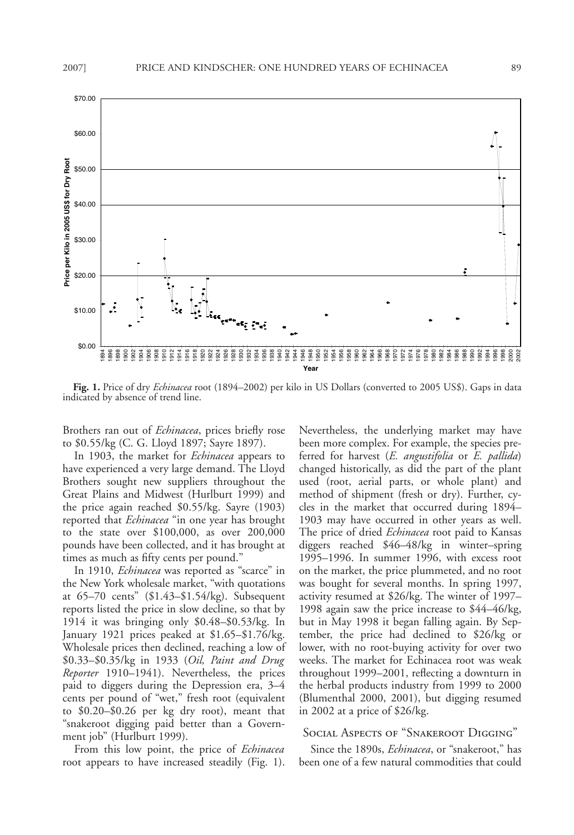

**Fig. 1.** Price of dry *Echinacea* root (1894–2002) per kilo in US Dollars (converted to 2005 US\$). Gaps in data indicated by absence of trend line.

Brothers ran out of *Echinacea*, prices briefly rose to \$0.55/kg (C. G. Lloyd 1897; Sayre 1897).

In 1903, the market for *Echinacea* appears to have experienced a very large demand. The Lloyd Brothers sought new suppliers throughout the Great Plains and Midwest (Hurlburt 1999) and the price again reached \$0.55/kg. Sayre (1903) reported that *Echinacea* "in one year has brought to the state over \$100,000, as over 200,000 pounds have been collected, and it has brought at times as much as fifty cents per pound."

In 1910, *Echinacea* was reported as "scarce" in the New York wholesale market, "with quotations at 65–70 cents" (\$1.43–\$1.54/kg). Subsequent reports listed the price in slow decline, so that by 1914 it was bringing only \$0.48–\$0.53/kg. In January 1921 prices peaked at \$1.65–\$1.76/kg. Wholesale prices then declined, reaching a low of \$0.33–\$0.35/kg in 1933 (*Oil, Paint and Drug Reporter* 1910–1941). Nevertheless, the prices paid to diggers during the Depression era, 3–4 cents per pound of "wet," fresh root (equivalent to \$0.20–\$0.26 per kg dry root), meant that "snakeroot digging paid better than a Government job" (Hurlburt 1999).

From this low point, the price of *Echinacea* root appears to have increased steadily (Fig. 1).

Nevertheless, the underlying market may have been more complex. For example, the species preferred for harvest (*E. angustifolia* or *E. pallida*) changed historically, as did the part of the plant used (root, aerial parts, or whole plant) and method of shipment (fresh or dry). Further, cycles in the market that occurred during 1894– 1903 may have occurred in other years as well. The price of dried *Echinacea* root paid to Kansas diggers reached \$46–48/kg in winter–spring 1995–1996. In summer 1996, with excess root on the market, the price plummeted, and no root was bought for several months. In spring 1997, activity resumed at \$26/kg. The winter of 1997– 1998 again saw the price increase to \$44–46/kg, but in May 1998 it began falling again. By September, the price had declined to \$26/kg or lower, with no root-buying activity for over two weeks. The market for Echinacea root was weak throughout 1999–2001, reflecting a downturn in the herbal products industry from 1999 to 2000 (Blumenthal 2000, 2001), but digging resumed in 2002 at a price of \$26/kg.

### Social Aspects of "Snakeroot Digging"

Since the 1890s, *Echinacea*, or "snakeroot," has been one of a few natural commodities that could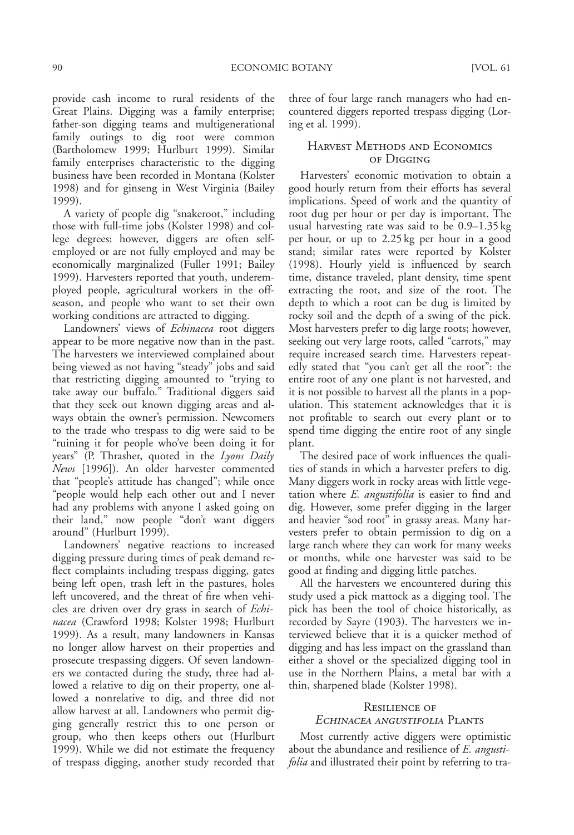provide cash income to rural residents of the Great Plains. Digging was a family enterprise; father-son digging teams and multigenerational family outings to dig root were common (Bartholomew 1999; Hurlburt 1999). Similar family enterprises characteristic to the digging business have been recorded in Montana (Kolster 1998) and for ginseng in West Virginia (Bailey 1999).

A variety of people dig "snakeroot," including those with full-time jobs (Kolster 1998) and college degrees; however, diggers are often selfemployed or are not fully employed and may be economically marginalized (Fuller 1991; Bailey 1999). Harvesters reported that youth, underemployed people, agricultural workers in the offseason, and people who want to set their own working conditions are attracted to digging.

Landowners' views of *Echinacea* root diggers appear to be more negative now than in the past. The harvesters we interviewed complained about being viewed as not having "steady" jobs and said that restricting digging amounted to "trying to take away our buffalo." Traditional diggers said that they seek out known digging areas and always obtain the owner's permission. Newcomers to the trade who trespass to dig were said to be "ruining it for people who've been doing it for years" (P. Thrasher, quoted in the *Lyons Daily News* [1996]). An older harvester commented that "people's attitude has changed"; while once "people would help each other out and I never had any problems with anyone I asked going on their land," now people "don't want diggers around" (Hurlburt 1999).

Landowners' negative reactions to increased digging pressure during times of peak demand reflect complaints including trespass digging, gates being left open, trash left in the pastures, holes left uncovered, and the threat of fire when vehicles are driven over dry grass in search of *Echinacea* (Crawford 1998; Kolster 1998; Hurlburt 1999). As a result, many landowners in Kansas no longer allow harvest on their properties and prosecute trespassing diggers. Of seven landowners we contacted during the study, three had allowed a relative to dig on their property, one allowed a nonrelative to dig, and three did not allow harvest at all. Landowners who permit digging generally restrict this to one person or group, who then keeps others out (Hurlburt 1999). While we did not estimate the frequency of trespass digging, another study recorded that three of four large ranch managers who had encountered diggers reported trespass digging (Loring et al. 1999).

## Harvest Methods and Economics of Digging

Harvesters' economic motivation to obtain a good hourly return from their efforts has several implications. Speed of work and the quantity of root dug per hour or per day is important. The usual harvesting rate was said to be 0.9–1.35 kg per hour, or up to 2.25 kg per hour in a good stand; similar rates were reported by Kolster (1998). Hourly yield is influenced by search time, distance traveled, plant density, time spent extracting the root, and size of the root. The depth to which a root can be dug is limited by rocky soil and the depth of a swing of the pick. Most harvesters prefer to dig large roots; however, seeking out very large roots, called "carrots," may require increased search time. Harvesters repeatedly stated that "you can't get all the root": the entire root of any one plant is not harvested, and it is not possible to harvest all the plants in a population. This statement acknowledges that it is not profitable to search out every plant or to spend time digging the entire root of any single plant.

The desired pace of work influences the qualities of stands in which a harvester prefers to dig. Many diggers work in rocky areas with little vegetation where *E. angustifolia* is easier to find and dig. However, some prefer digging in the larger and heavier "sod root" in grassy areas. Many harvesters prefer to obtain permission to dig on a large ranch where they can work for many weeks or months, while one harvester was said to be good at finding and digging little patches.

All the harvesters we encountered during this study used a pick mattock as a digging tool. The pick has been the tool of choice historically, as recorded by Sayre (1903). The harvesters we interviewed believe that it is a quicker method of digging and has less impact on the grassland than either a shovel or the specialized digging tool in use in the Northern Plains, a metal bar with a thin, sharpened blade (Kolster 1998).

## Resilience of *Echinacea angustifolia* Plants

Most currently active diggers were optimistic about the abundance and resilience of *E. angustifolia* and illustrated their point by referring to tra-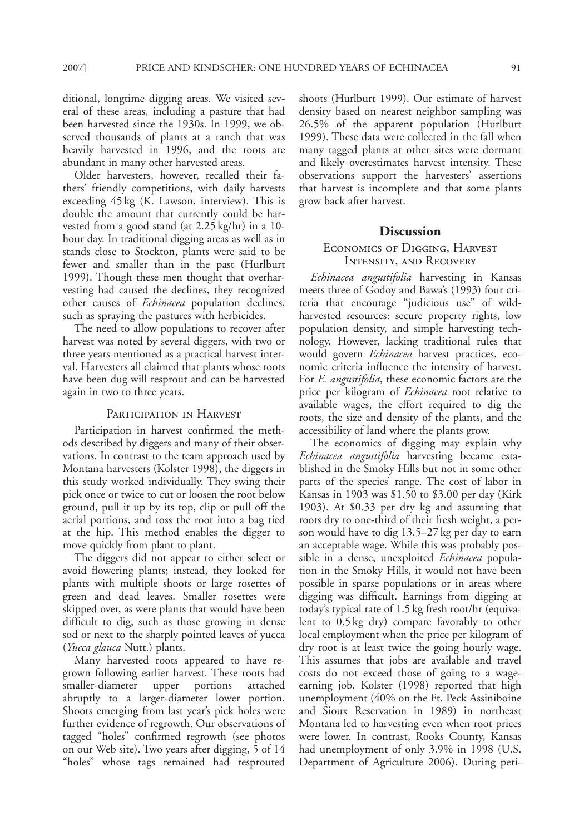ditional, longtime digging areas. We visited several of these areas, including a pasture that had been harvested since the 1930s. In 1999, we observed thousands of plants at a ranch that was heavily harvested in 1996, and the roots are abundant in many other harvested areas.

Older harvesters, however, recalled their fathers' friendly competitions, with daily harvests exceeding 45 kg (K. Lawson, interview). This is double the amount that currently could be harvested from a good stand (at 2.25 kg/hr) in a 10 hour day. In traditional digging areas as well as in stands close to Stockton, plants were said to be fewer and smaller than in the past (Hurlburt 1999). Though these men thought that overharvesting had caused the declines, they recognized other causes of *Echinacea* population declines, such as spraying the pastures with herbicides.

The need to allow populations to recover after harvest was noted by several diggers, with two or three years mentioned as a practical harvest interval. Harvesters all claimed that plants whose roots have been dug will resprout and can be harvested again in two to three years.

#### PARTICIPATION IN HARVEST

Participation in harvest confirmed the methods described by diggers and many of their observations. In contrast to the team approach used by Montana harvesters (Kolster 1998), the diggers in this study worked individually. They swing their pick once or twice to cut or loosen the root below ground, pull it up by its top, clip or pull off the aerial portions, and toss the root into a bag tied at the hip. This method enables the digger to move quickly from plant to plant.

The diggers did not appear to either select or avoid flowering plants; instead, they looked for plants with multiple shoots or large rosettes of green and dead leaves. Smaller rosettes were skipped over, as were plants that would have been difficult to dig, such as those growing in dense sod or next to the sharply pointed leaves of yucca (*Yucca glauca* Nutt.) plants.

Many harvested roots appeared to have regrown following earlier harvest. These roots had smaller-diameter upper portions attached abruptly to a larger-diameter lower portion. Shoots emerging from last year's pick holes were further evidence of regrowth. Our observations of tagged "holes" confirmed regrowth (see photos on our Web site). Two years after digging, 5 of 14 "holes" whose tags remained had resprouted

shoots (Hurlburt 1999). Our estimate of harvest density based on nearest neighbor sampling was 26.5% of the apparent population (Hurlburt 1999). These data were collected in the fall when many tagged plants at other sites were dormant and likely overestimates harvest intensity. These observations support the harvesters' assertions that harvest is incomplete and that some plants grow back after harvest.

### **Discussion**

### Economics of Digging, Harvest Intensity, and Recovery

*Echinacea angustifolia* harvesting in Kansas meets three of Godoy and Bawa's (1993) four criteria that encourage "judicious use" of wildharvested resources: secure property rights, low population density, and simple harvesting technology. However, lacking traditional rules that would govern *Echinacea* harvest practices, economic criteria influence the intensity of harvest. For *E. angustifolia*, these economic factors are the price per kilogram of *Echinacea* root relative to available wages, the effort required to dig the roots, the size and density of the plants, and the accessibility of land where the plants grow.

The economics of digging may explain why *Echinacea angustifolia* harvesting became established in the Smoky Hills but not in some other parts of the species' range. The cost of labor in Kansas in 1903 was \$1.50 to \$3.00 per day (Kirk 1903). At \$0.33 per dry kg and assuming that roots dry to one-third of their fresh weight, a person would have to dig 13.5–27 kg per day to earn an acceptable wage. While this was probably possible in a dense, unexploited *Echinacea* population in the Smoky Hills, it would not have been possible in sparse populations or in areas where digging was difficult. Earnings from digging at today's typical rate of 1.5 kg fresh root/hr (equivalent to 0.5 kg dry) compare favorably to other local employment when the price per kilogram of dry root is at least twice the going hourly wage. This assumes that jobs are available and travel costs do not exceed those of going to a wageearning job. Kolster (1998) reported that high unemployment (40% on the Ft. Peck Assiniboine and Sioux Reservation in 1989) in northeast Montana led to harvesting even when root prices were lower. In contrast, Rooks County, Kansas had unemployment of only 3.9% in 1998 (U.S. Department of Agriculture 2006). During peri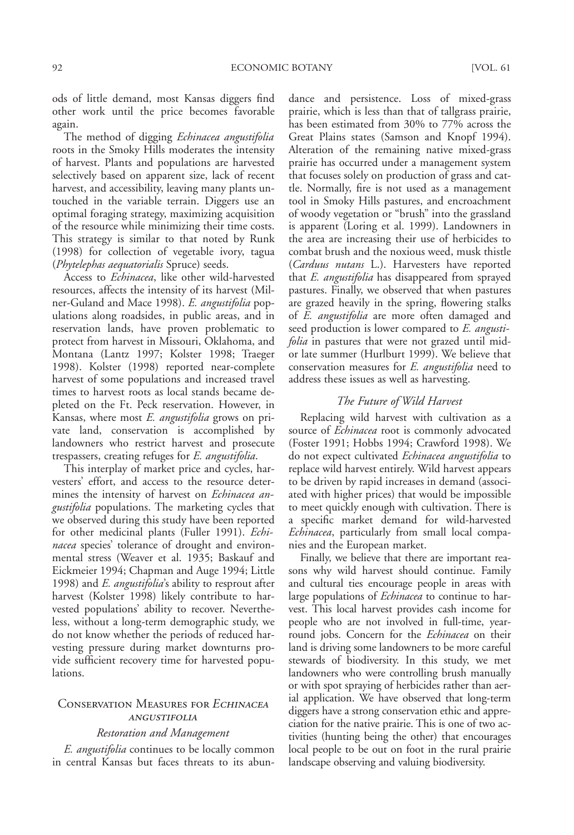ods of little demand, most Kansas diggers find other work until the price becomes favorable again.

The method of digging *Echinacea angustifolia* roots in the Smoky Hills moderates the intensity of harvest. Plants and populations are harvested selectively based on apparent size, lack of recent harvest, and accessibility, leaving many plants untouched in the variable terrain. Diggers use an optimal foraging strategy, maximizing acquisition of the resource while minimizing their time costs. This strategy is similar to that noted by Runk (1998) for collection of vegetable ivory, tagua (*Phytelephas aequatorialis* Spruce) seeds.

Access to *Echinacea*, like other wild-harvested resources, affects the intensity of its harvest (Milner-Guland and Mace 1998). *E. angustifolia* populations along roadsides, in public areas, and in reservation lands, have proven problematic to protect from harvest in Missouri, Oklahoma, and Montana (Lantz 1997; Kolster 1998; Traeger 1998). Kolster (1998) reported near-complete harvest of some populations and increased travel times to harvest roots as local stands became depleted on the Ft. Peck reservation. However, in Kansas, where most *E. angustifolia* grows on private land, conservation is accomplished by landowners who restrict harvest and prosecute trespassers, creating refuges for *E. angustifolia*.

This interplay of market price and cycles, harvesters' effort, and access to the resource determines the intensity of harvest on *Echinacea angustifolia* populations. The marketing cycles that we observed during this study have been reported for other medicinal plants (Fuller 1991). *Echinacea* species' tolerance of drought and environmental stress (Weaver et al. 1935; Baskauf and Eickmeier 1994; Chapman and Auge 1994; Little 1998) and *E. angustifolia*'s ability to resprout after harvest (Kolster 1998) likely contribute to harvested populations' ability to recover. Nevertheless, without a long-term demographic study, we do not know whether the periods of reduced harvesting pressure during market downturns provide sufficient recovery time for harvested populations.

### Conservation Measures for *Echinacea angustifolia*

#### *Restoration and Management*

*E. angustifolia* continues to be locally common in central Kansas but faces threats to its abun-

dance and persistence. Loss of mixed-grass prairie, which is less than that of tallgrass prairie, has been estimated from 30% to 77% across the Great Plains states (Samson and Knopf 1994). Alteration of the remaining native mixed-grass prairie has occurred under a management system that focuses solely on production of grass and cattle. Normally, fire is not used as a management tool in Smoky Hills pastures, and encroachment of woody vegetation or "brush" into the grassland is apparent (Loring et al. 1999). Landowners in the area are increasing their use of herbicides to combat brush and the noxious weed, musk thistle (*Carduus nutans* L.). Harvesters have reported that *E. angustifolia* has disappeared from sprayed pastures. Finally, we observed that when pastures are grazed heavily in the spring, flowering stalks of *E. angustifolia* are more often damaged and seed production is lower compared to *E. angustifolia* in pastures that were not grazed until midor late summer (Hurlburt 1999). We believe that conservation measures for *E. angustifolia* need to address these issues as well as harvesting.

#### *The Future of Wild Harvest*

Replacing wild harvest with cultivation as a source of *Echinacea* root is commonly advocated (Foster 1991; Hobbs 1994; Crawford 1998). We do not expect cultivated *Echinacea angustifolia* to replace wild harvest entirely. Wild harvest appears to be driven by rapid increases in demand (associated with higher prices) that would be impossible to meet quickly enough with cultivation. There is a specific market demand for wild-harvested *Echinacea*, particularly from small local companies and the European market.

Finally, we believe that there are important reasons why wild harvest should continue. Family and cultural ties encourage people in areas with large populations of *Echinacea* to continue to harvest. This local harvest provides cash income for people who are not involved in full-time, yearround jobs. Concern for the *Echinacea* on their land is driving some landowners to be more careful stewards of biodiversity. In this study, we met landowners who were controlling brush manually or with spot spraying of herbicides rather than aerial application. We have observed that long-term diggers have a strong conservation ethic and appreciation for the native prairie. This is one of two activities (hunting being the other) that encourages local people to be out on foot in the rural prairie landscape observing and valuing biodiversity.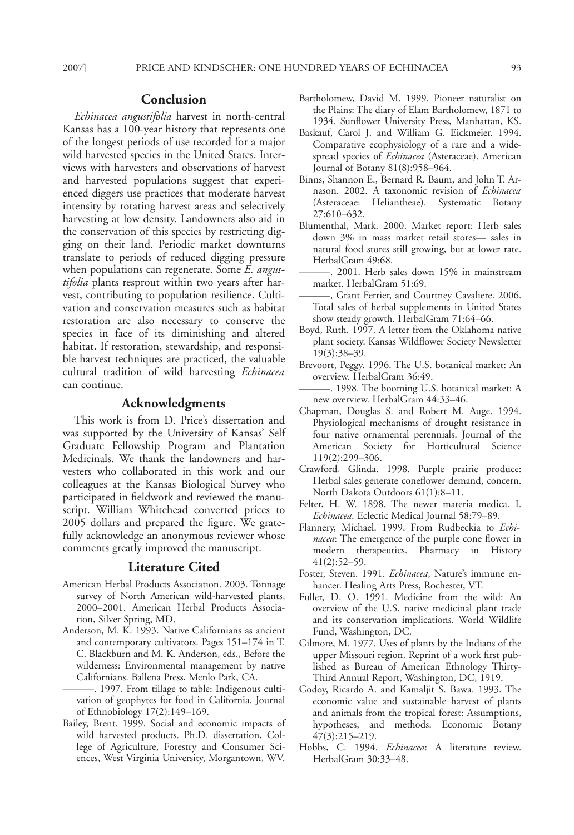# **Conclusion**

*Echinacea angustifolia* harvest in north-central Kansas has a 100-year history that represents one of the longest periods of use recorded for a major wild harvested species in the United States. Interviews with harvesters and observations of harvest and harvested populations suggest that experienced diggers use practices that moderate harvest intensity by rotating harvest areas and selectively harvesting at low density. Landowners also aid in the conservation of this species by restricting digging on their land. Periodic market downturns translate to periods of reduced digging pressure when populations can regenerate. Some *E. angustifolia* plants resprout within two years after harvest, contributing to population resilience. Cultivation and conservation measures such as habitat restoration are also necessary to conserve the species in face of its diminishing and altered habitat. If restoration, stewardship, and responsible harvest techniques are practiced, the valuable cultural tradition of wild harvesting *Echinacea* can continue.

### **Acknowledgments**

This work is from D. Price's dissertation and was supported by the University of Kansas' Self Graduate Fellowship Program and Plantation Medicinals. We thank the landowners and harvesters who collaborated in this work and our colleagues at the Kansas Biological Survey who participated in fieldwork and reviewed the manuscript. William Whitehead converted prices to 2005 dollars and prepared the figure. We gratefully acknowledge an anonymous reviewer whose comments greatly improved the manuscript.

#### **Literature Cited**

- American Herbal Products Association. 2003. Tonnage survey of North American wild-harvested plants, 2000–2001. American Herbal Products Association, Silver Spring, MD.
- Anderson, M. K. 1993. Native Californians as ancient and contemporary cultivators. Pages 151–174 in T. C. Blackburn and M. K. Anderson, eds., Before the wilderness: Environmental management by native Californians. Ballena Press, Menlo Park, CA.
	- ———. 1997. From tillage to table: Indigenous cultivation of geophytes for food in California. Journal of Ethnobiology 17(2):149–169.
- Bailey, Brent. 1999. Social and economic impacts of wild harvested products. Ph.D. dissertation, College of Agriculture, Forestry and Consumer Sciences, West Virginia University, Morgantown, WV.
- Bartholomew, David M. 1999. Pioneer naturalist on the Plains: The diary of Elam Bartholomew, 1871 to 1934. Sunflower University Press, Manhattan, KS.
- Baskauf, Carol J. and William G. Eickmeier. 1994. Comparative ecophysiology of a rare and a widespread species of *Echinacea* (Asteraceae). American Journal of Botany 81(8):958–964.
- Binns, Shannon E., Bernard R. Baum, and John T. Arnason. 2002. A taxonomic revision of *Echinacea* (Asteraceae: Heliantheae). Systematic Botany 27:610–632.
- Blumenthal, Mark. 2000. Market report: Herb sales down 3% in mass market retail stores— sales in natural food stores still growing, but at lower rate. HerbalGram 49:68.
- ———. 2001. Herb sales down 15% in mainstream market. HerbalGram 51:69.
- -, Grant Ferrier, and Courtney Cavaliere. 2006. Total sales of herbal supplements in United States show steady growth. HerbalGram 71:64–66.
- Boyd, Ruth. 1997. A letter from the Oklahoma native plant society. Kansas Wildflower Society Newsletter 19(3):38–39.
- Brevoort, Peggy. 1996. The U.S. botanical market: An overview. HerbalGram 36:49.
- ———. 1998. The booming U.S. botanical market: A new overview. HerbalGram 44:33–46.
- Chapman, Douglas S. and Robert M. Auge. 1994. Physiological mechanisms of drought resistance in four native ornamental perennials. Journal of the American Society for Horticultural Science 119(2):299–306.
- Crawford, Glinda. 1998. Purple prairie produce: Herbal sales generate coneflower demand, concern. North Dakota Outdoors 61(1):8–11.
- Felter, H. W. 1898. The newer materia medica. I. *Echinacea*. Eclectic Medical Journal 58:79–89.
- Flannery, Michael. 1999. From Rudbeckia to *Echinacea*: The emergence of the purple cone flower in modern therapeutics. Pharmacy in History 41(2):52–59.
- Foster, Steven. 1991. *Echinacea*, Nature's immune enhancer. Healing Arts Press, Rochester, VT.
- Fuller, D. O. 1991. Medicine from the wild: An overview of the U.S. native medicinal plant trade and its conservation implications. World Wildlife Fund, Washington, DC.
- Gilmore, M. 1977. Uses of plants by the Indians of the upper Missouri region. Reprint of a work first published as Bureau of American Ethnology Thirty-Third Annual Report, Washington, DC, 1919.
- Godoy, Ricardo A. and Kamaljit S. Bawa. 1993. The economic value and sustainable harvest of plants and animals from the tropical forest: Assumptions, hypotheses, and methods. Economic Botany 47(3):215–219.
- Hobbs, C. 1994. *Echinacea*: A literature review. HerbalGram 30:33–48.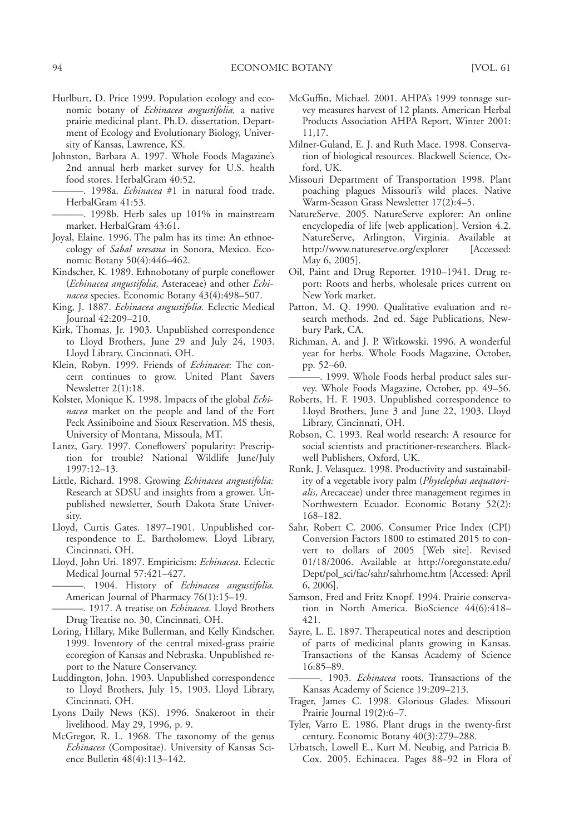- Hurlburt, D. Price 1999. Population ecology and economic botany of *Echinacea angustifolia,* a native prairie medicinal plant. Ph.D. dissertation, Department of Ecology and Evolutionary Biology, University of Kansas, Lawrence, KS.
- Johnston, Barbara A. 1997. Whole Foods Magazine's 2nd annual herb market survey for U.S. health food stores. HerbalGram 40:52.
	- ———. 1998a. *Echinacea* #1 in natural food trade. HerbalGram 41:53.
- ———. 1998b. Herb sales up 101% in mainstream market. HerbalGram 43:61.
- Joyal, Elaine. 1996. The palm has its time: An ethnoecology of *Sabal uresana* in Sonora, Mexico. Economic Botany 50(4):446–462.
- Kindscher, K. 1989. Ethnobotany of purple coneflower (*Echinacea angustifolia,* Asteraceae) and other *Echinacea* species. Economic Botany 43(4):498–507.
- King, J. 1887. *Echinacea angustifolia.* Eclectic Medical Journal 42:209–210.
- Kirk, Thomas, Jr. 1903. Unpublished correspondence to Lloyd Brothers, June 29 and July 24, 1903. Lloyd Library, Cincinnati, OH.
- Klein, Robyn. 1999. Friends of *Echinacea*: The concern continues to grow. United Plant Savers Newsletter 2(1):18.
- Kolster, Monique K. 1998. Impacts of the global *Echinacea* market on the people and land of the Fort Peck Assiniboine and Sioux Reservation. MS thesis, University of Montana, Missoula, MT.
- Lantz, Gary. 1997. Coneflowers' popularity: Prescription for trouble? National Wildlife June/July 1997:12–13.
- Little, Richard. 1998. Growing *Echinacea angustifolia:* Research at SDSU and insights from a grower. Unpublished newsletter, South Dakota State University.
- Lloyd, Curtis Gates. 1897–1901. Unpublished correspondence to E. Bartholomew. Lloyd Library, Cincinnati, OH.
- Lloyd, John Uri. 1897. Empiricism: *Echinacea*. Eclectic Medical Journal 57:421–427.
	- ———. 1904. History of *Echinacea angustifolia.* American Journal of Pharmacy 76(1):15–19.

- Loring, Hillary, Mike Bullerman, and Kelly Kindscher. 1999. Inventory of the central mixed-grass prairie ecoregion of Kansas and Nebraska. Unpublished report to the Nature Conservancy.
- Luddington, John. 1903. Unpublished correspondence to Lloyd Brothers, July 15, 1903. Lloyd Library, Cincinnati, OH.
- Lyons Daily News (KS). 1996. Snakeroot in their livelihood. May 29, 1996, p. 9.
- McGregor, R. L. 1968. The taxonomy of the genus *Echinacea* (Compositae). University of Kansas Science Bulletin 48(4):113–142.
- McGuffin, Michael. 2001. AHPA's 1999 tonnage survey measures harvest of 12 plants. American Herbal Products Association AHPA Report, Winter 2001: 11,17.
- Milner-Guland, E. J. and Ruth Mace. 1998. Conservation of biological resources. Blackwell Science, Oxford, UK.
- Missouri Department of Transportation 1998. Plant poaching plagues Missouri's wild places. Native Warm-Season Grass Newsletter 17(2):4–5.
- NatureServe. 2005. NatureServe explorer: An online encyclopedia of life [web application]. Version 4.2. NatureServe, Arlington, Virginia. Available at http://www.natureserve.org/explorer [Accessed: May 6, 2005].
- Oil, Paint and Drug Reporter. 1910–1941. Drug report: Roots and herbs, wholesale prices current on New York market.
- Patton, M. Q. 1990. Qualitative evaluation and research methods. 2nd ed. Sage Publications, Newbury Park, CA.
- Richman, A. and J. P. Witkowski. 1996. A wonderful year for herbs. Whole Foods Magazine, October, pp. 52–60.
- -. 1999. Whole Foods herbal product sales survey. Whole Foods Magazine, October, pp. 49–56.
- Roberts, H. F. 1903. Unpublished correspondence to Lloyd Brothers, June 3 and June 22, 1903. Lloyd Library, Cincinnati, OH.
- Robson, C. 1993. Real world research: A resource for social scientists and practitioner-researchers. Blackwell Publishers, Oxford, UK.
- Runk, J. Velasquez. 1998. Productivity and sustainability of a vegetable ivory palm (*Phytelephas aequatorialis,* Arecaceae) under three management regimes in Northwestern Ecuador. Economic Botany 52(2): 168–182.
- Sahr, Robert C. 2006. Consumer Price Index (CPI) Conversion Factors 1800 to estimated 2015 to convert to dollars of 2005 [Web site]. Revised 01/18/2006. Available at http://oregonstate.edu/ Dept/pol\_sci/fac/sahr/sahrhome.htm [Accessed: April 6, 2006].
- Samson, Fred and Fritz Knopf. 1994. Prairie conservation in North America. BioScience 44(6):418– 421.
- Sayre, L. E. 1897. Therapeutical notes and description of parts of medicinal plants growing in Kansas. Transactions of the Kansas Academy of Science 16:85–89.
- ———. 1903. *Echinacea* roots. Transactions of the Kansas Academy of Science 19:209–213.
- Trager, James C. 1998. Glorious Glades. Missouri Prairie Journal 19(2):6–7.
- Tyler, Varro E. 1986. Plant drugs in the twenty-first century. Economic Botany 40(3):279–288.
- Urbatsch, Lowell E., Kurt M. Neubig, and Patricia B. Cox. 2005. Echinacea. Pages 88–92 in Flora of

<sup>———. 1917.</sup> A treatise on *Echinacea*. Lloyd Brothers Drug Treatise no. 30, Cincinnati, OH.